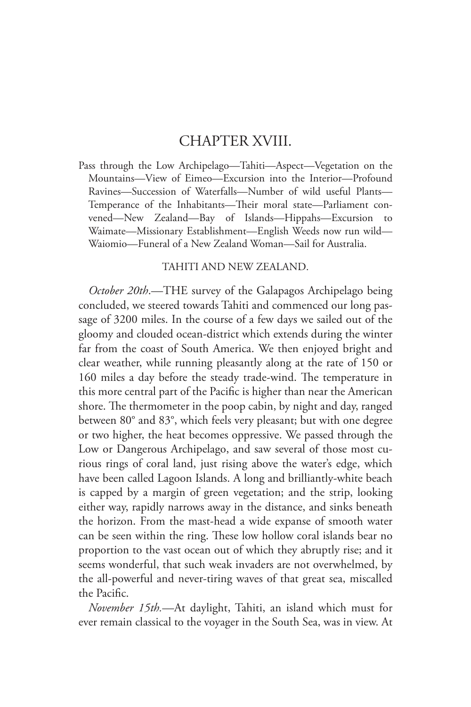## CHAPTER XVIII.

Pass through the Low Archipelago—Tahiti—Aspect—Vegetation on the Mountains—View of Eimeo—Excursion into the Interior—Profound Ravines—Succession of Waterfalls—Number of wild useful Plants— Temperance of the Inhabitants—Their moral state—Parliament convened—New Zealand—Bay of Islands—Hippahs—Excursion to Waimate—Missionary Establishment—English Weeds now run wild— Waiomio—Funeral of a New Zealand Woman—Sail for Australia.

## TAHITI AND NEW ZEALAND.

*October 20th*.—THE survey of the Galapagos Archipelago being concluded, we steered towards Tahiti and commenced our long passage of 3200 miles. In the course of a few days we sailed out of the gloomy and clouded ocean-district which extends during the winter far from the coast of South America. We then enjoyed bright and clear weather, while running pleasantly along at the rate of 150 or 160 miles a day before the steady trade-wind. The temperature in this more central part of the Pacific is higher than near the American shore. The thermometer in the poop cabin, by night and day, ranged between 80° and 83°, which feels very pleasant; but with one degree or two higher, the heat becomes oppressive. We passed through the Low or Dangerous Archipelago, and saw several of those most curious rings of coral land, just rising above the water's edge, which have been called Lagoon Islands. A long and brilliantly-white beach is capped by a margin of green vegetation; and the strip, looking either way, rapidly narrows away in the distance, and sinks beneath the horizon. From the mast-head a wide expanse of smooth water can be seen within the ring. These low hollow coral islands bear no proportion to the vast ocean out of which they abruptly rise; and it seems wonderful, that such weak invaders are not overwhelmed, by the all-powerful and never-tiring waves of that great sea, miscalled the Pacific.

*November 15th.*—At daylight, Tahiti, an island which must for ever remain classical to the voyager in the South Sea, was in view. At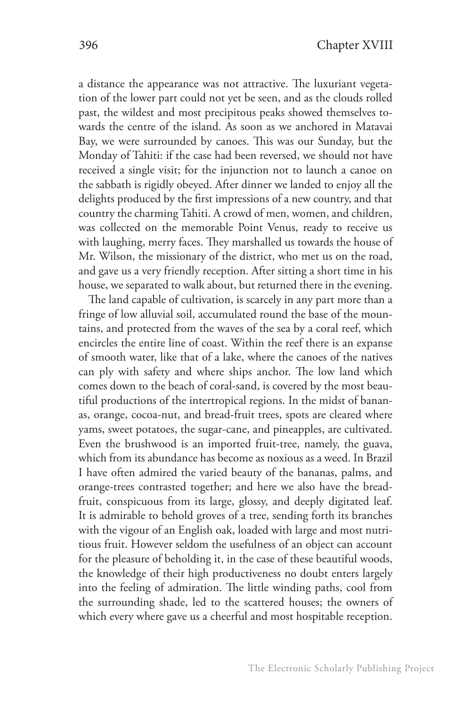a distance the appearance was not attractive. The luxuriant vegetation of the lower part could not yet be seen, and as the clouds rolled past, the wildest and most precipitous peaks showed themselves towards the centre of the island. As soon as we anchored in Matavai Bay, we were surrounded by canoes. This was our Sunday, but the Monday of Tahiti: if the case had been reversed, we should not have received a single visit; for the injunction not to launch a canoe on the sabbath is rigidly obeyed. After dinner we landed to enjoy all the delights produced by the first impressions of a new country, and that country the charming Tahiti. A crowd of men, women, and children, was collected on the memorable Point Venus, ready to receive us with laughing, merry faces. They marshalled us towards the house of Mr. Wilson, the missionary of the district, who met us on the road, and gave us a very friendly reception. After sitting a short time in his house, we separated to walk about, but returned there in the evening.

The land capable of cultivation, is scarcely in any part more than a fringe of low alluvial soil, accumulated round the base of the mountains, and protected from the waves of the sea by a coral reef, which encircles the entire line of coast. Within the reef there is an expanse of smooth water, like that of a lake, where the canoes of the natives can ply with safety and where ships anchor. The low land which comes down to the beach of coral-sand, is covered by the most beautiful productions of the intertropical regions. In the midst of bananas, orange, cocoa-nut, and bread-fruit trees, spots are cleared where yams, sweet potatoes, the sugar-cane, and pineapples, are cultivated. Even the brushwood is an imported fruit-tree, namely, the guava, which from its abundance has become as noxious as a weed. In Brazil I have often admired the varied beauty of the bananas, palms, and orange-trees contrasted together; and here we also have the breadfruit, conspicuous from its large, glossy, and deeply digitated leaf. It is admirable to behold groves of a tree, sending forth its branches with the vigour of an English oak, loaded with large and most nutritious fruit. However seldom the usefulness of an object can account for the pleasure of beholding it, in the case of these beautiful woods, the knowledge of their high productiveness no doubt enters largely into the feeling of admiration. The little winding paths, cool from the surrounding shade, led to the scattered houses; the owners of which every where gave us a cheerful and most hospitable reception.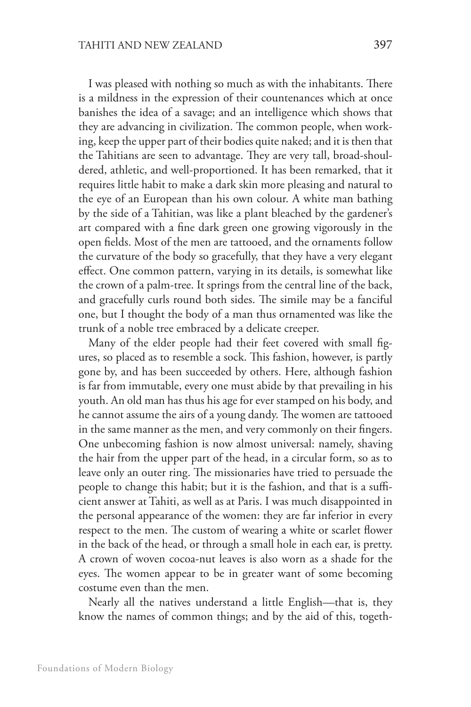I was pleased with nothing so much as with the inhabitants. There is a mildness in the expression of their countenances which at once banishes the idea of a savage; and an intelligence which shows that they are advancing in civilization. The common people, when working, keep the upper part of their bodies quite naked; and it is then that the Tahitians are seen to advantage. They are very tall, broad-shouldered, athletic, and well-proportioned. It has been remarked, that it requires little habit to make a dark skin more pleasing and natural to the eye of an European than his own colour. A white man bathing by the side of a Tahitian, was like a plant bleached by the gardener's art compared with a fine dark green one growing vigorously in the open fields. Most of the men are tattooed, and the ornaments follow the curvature of the body so gracefully, that they have a very elegant effect. One common pattern, varying in its details, is somewhat like the crown of a palm-tree. It springs from the central line of the back, and gracefully curls round both sides. The simile may be a fanciful one, but I thought the body of a man thus ornamented was like the trunk of a noble tree embraced by a delicate creeper.

Many of the elder people had their feet covered with small figures, so placed as to resemble a sock. This fashion, however, is partly gone by, and has been succeeded by others. Here, although fashion is far from immutable, every one must abide by that prevailing in his youth. An old man has thus his age for ever stamped on his body, and he cannot assume the airs of a young dandy. The women are tattooed in the same manner as the men, and very commonly on their fingers. One unbecoming fashion is now almost universal: namely, shaving the hair from the upper part of the head, in a circular form, so as to leave only an outer ring. The missionaries have tried to persuade the people to change this habit; but it is the fashion, and that is a sufficient answer at Tahiti, as well as at Paris. I was much disappointed in the personal appearance of the women: they are far inferior in every respect to the men. The custom of wearing a white or scarlet flower in the back of the head, or through a small hole in each ear, is pretty. A crown of woven cocoa-nut leaves is also worn as a shade for the eyes. The women appear to be in greater want of some becoming costume even than the men.

Nearly all the natives understand a little English—that is, they know the names of common things; and by the aid of this, togeth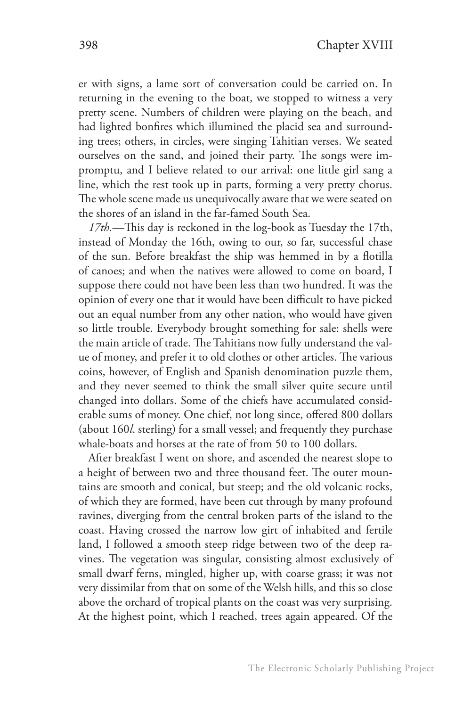er with signs, a lame sort of conversation could be carried on. In returning in the evening to the boat, we stopped to witness a very pretty scene. Numbers of children were playing on the beach, and had lighted bonfires which illumined the placid sea and surrounding trees; others, in circles, were singing Tahitian verses. We seated ourselves on the sand, and joined their party. The songs were impromptu, and I believe related to our arrival: one little girl sang a line, which the rest took up in parts, forming a very pretty chorus. The whole scene made us unequivocally aware that we were seated on the shores of an island in the far-famed South Sea.

*17th.*—This day is reckoned in the log-book as Tuesday the 17th, instead of Monday the 16th, owing to our, so far, successful chase of the sun. Before breakfast the ship was hemmed in by a flotilla of canoes; and when the natives were allowed to come on board, I suppose there could not have been less than two hundred. It was the opinion of every one that it would have been difficult to have picked out an equal number from any other nation, who would have given so little trouble. Everybody brought something for sale: shells were the main article of trade. The Tahitians now fully understand the value of money, and prefer it to old clothes or other articles. The various coins, however, of English and Spanish denomination puzzle them, and they never seemed to think the small silver quite secure until changed into dollars. Some of the chiefs have accumulated considerable sums of money. One chief, not long since, offered 800 dollars (about 160*l*. sterling) for a small vessel; and frequently they purchase whale-boats and horses at the rate of from 50 to 100 dollars.

After breakfast I went on shore, and ascended the nearest slope to a height of between two and three thousand feet. The outer mountains are smooth and conical, but steep; and the old volcanic rocks, of which they are formed, have been cut through by many profound ravines, diverging from the central broken parts of the island to the coast. Having crossed the narrow low girt of inhabited and fertile land, I followed a smooth steep ridge between two of the deep ravines. The vegetation was singular, consisting almost exclusively of small dwarf ferns, mingled, higher up, with coarse grass; it was not very dissimilar from that on some of the Welsh hills, and this so close above the orchard of tropical plants on the coast was very surprising. At the highest point, which I reached, trees again appeared. Of the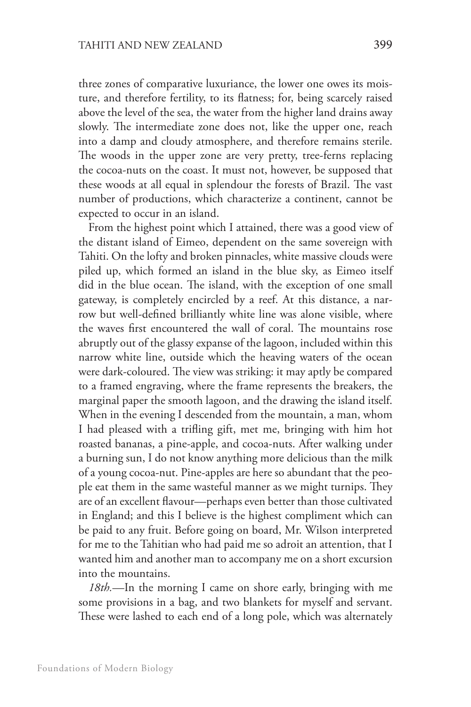three zones of comparative luxuriance, the lower one owes its moisture, and therefore fertility, to its flatness; for, being scarcely raised above the level of the sea, the water from the higher land drains away slowly. The intermediate zone does not, like the upper one, reach into a damp and cloudy atmosphere, and therefore remains sterile. The woods in the upper zone are very pretty, tree-ferns replacing the cocoa-nuts on the coast. It must not, however, be supposed that these woods at all equal in splendour the forests of Brazil. The vast number of productions, which characterize a continent, cannot be expected to occur in an island.

From the highest point which I attained, there was a good view of the distant island of Eimeo, dependent on the same sovereign with Tahiti. On the lofty and broken pinnacles, white massive clouds were piled up, which formed an island in the blue sky, as Eimeo itself did in the blue ocean. The island, with the exception of one small gateway, is completely encircled by a reef. At this distance, a narrow but well-defined brilliantly white line was alone visible, where the waves first encountered the wall of coral. The mountains rose abruptly out of the glassy expanse of the lagoon, included within this narrow white line, outside which the heaving waters of the ocean were dark-coloured. The view was striking: it may aptly be compared to a framed engraving, where the frame represents the breakers, the marginal paper the smooth lagoon, and the drawing the island itself. When in the evening I descended from the mountain, a man, whom I had pleased with a trifling gift, met me, bringing with him hot roasted bananas, a pine-apple, and cocoa-nuts. After walking under a burning sun, I do not know anything more delicious than the milk of a young cocoa-nut. Pine-apples are here so abundant that the people eat them in the same wasteful manner as we might turnips. They are of an excellent flavour—perhaps even better than those cultivated in England; and this I believe is the highest compliment which can be paid to any fruit. Before going on board, Mr. Wilson interpreted for me to the Tahitian who had paid me so adroit an attention, that I wanted him and another man to accompany me on a short excursion into the mountains.

*18th.*—In the morning I came on shore early, bringing with me some provisions in a bag, and two blankets for myself and servant. These were lashed to each end of a long pole, which was alternately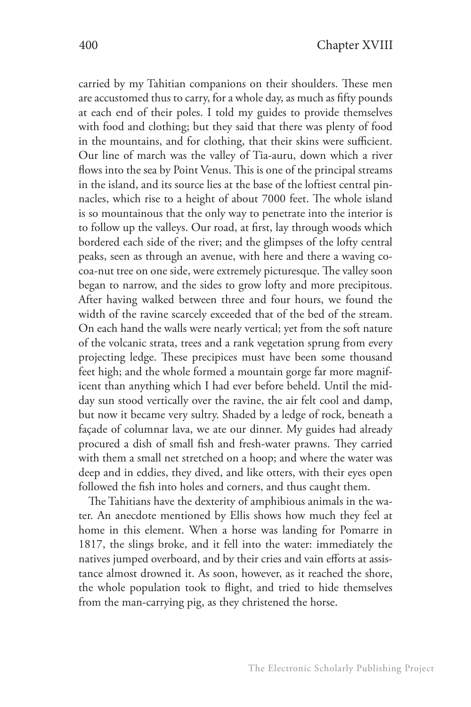carried by my Tahitian companions on their shoulders. These men are accustomed thus to carry, for a whole day, as much as fifty pounds at each end of their poles. I told my guides to provide themselves with food and clothing; but they said that there was plenty of food in the mountains, and for clothing, that their skins were sufficient. Our line of march was the valley of Tia-auru, down which a river flows into the sea by Point Venus. This is one of the principal streams in the island, and its source lies at the base of the loftiest central pinnacles, which rise to a height of about 7000 feet. The whole island is so mountainous that the only way to penetrate into the interior is to follow up the valleys. Our road, at first, lay through woods which bordered each side of the river; and the glimpses of the lofty central peaks, seen as through an avenue, with here and there a waving cocoa-nut tree on one side, were extremely picturesque. The valley soon began to narrow, and the sides to grow lofty and more precipitous. After having walked between three and four hours, we found the width of the ravine scarcely exceeded that of the bed of the stream. On each hand the walls were nearly vertical; yet from the soft nature of the volcanic strata, trees and a rank vegetation sprung from every projecting ledge. These precipices must have been some thousand feet high; and the whole formed a mountain gorge far more magnificent than anything which I had ever before beheld. Until the midday sun stood vertically over the ravine, the air felt cool and damp, but now it became very sultry. Shaded by a ledge of rock, beneath a façade of columnar lava, we ate our dinner. My guides had already procured a dish of small fish and fresh-water prawns. They carried with them a small net stretched on a hoop; and where the water was deep and in eddies, they dived, and like otters, with their eyes open followed the fish into holes and corners, and thus caught them.

The Tahitians have the dexterity of amphibious animals in the water. An anecdote mentioned by Ellis shows how much they feel at home in this element. When a horse was landing for Pomarre in 1817, the slings broke, and it fell into the water: immediately the natives jumped overboard, and by their cries and vain efforts at assistance almost drowned it. As soon, however, as it reached the shore, the whole population took to flight, and tried to hide themselves from the man-carrying pig, as they christened the horse.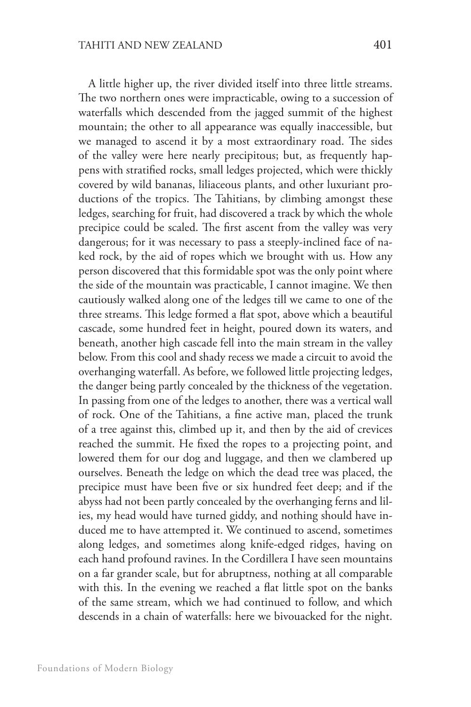A little higher up, the river divided itself into three little streams. The two northern ones were impracticable, owing to a succession of waterfalls which descended from the jagged summit of the highest mountain; the other to all appearance was equally inaccessible, but we managed to ascend it by a most extraordinary road. The sides of the valley were here nearly precipitous; but, as frequently happens with stratified rocks, small ledges projected, which were thickly covered by wild bananas, liliaceous plants, and other luxuriant productions of the tropics. The Tahitians, by climbing amongst these ledges, searching for fruit, had discovered a track by which the whole precipice could be scaled. The first ascent from the valley was very dangerous; for it was necessary to pass a steeply-inclined face of naked rock, by the aid of ropes which we brought with us. How any person discovered that this formidable spot was the only point where the side of the mountain was practicable, I cannot imagine. We then cautiously walked along one of the ledges till we came to one of the three streams. This ledge formed a flat spot, above which a beautiful cascade, some hundred feet in height, poured down its waters, and beneath, another high cascade fell into the main stream in the valley below. From this cool and shady recess we made a circuit to avoid the overhanging waterfall. As before, we followed little projecting ledges, the danger being partly concealed by the thickness of the vegetation. In passing from one of the ledges to another, there was a vertical wall of rock. One of the Tahitians, a fine active man, placed the trunk of a tree against this, climbed up it, and then by the aid of crevices reached the summit. He fixed the ropes to a projecting point, and lowered them for our dog and luggage, and then we clambered up ourselves. Beneath the ledge on which the dead tree was placed, the precipice must have been five or six hundred feet deep; and if the abyss had not been partly concealed by the overhanging ferns and lilies, my head would have turned giddy, and nothing should have induced me to have attempted it. We continued to ascend, sometimes along ledges, and sometimes along knife-edged ridges, having on each hand profound ravines. In the Cordillera I have seen mountains on a far grander scale, but for abruptness, nothing at all comparable with this. In the evening we reached a flat little spot on the banks of the same stream, which we had continued to follow, and which descends in a chain of waterfalls: here we bivouacked for the night.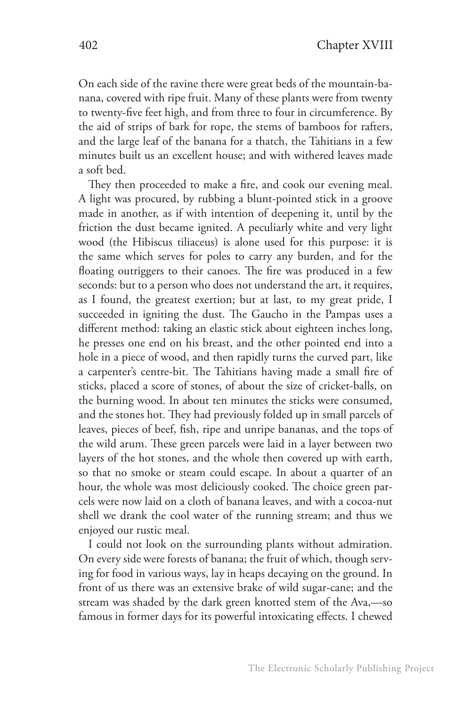On each side of the ravine there were great beds of the mountain-banana, covered with ripe fruit. Many of these plants were from twenty to twenty-five feet high, and from three to four in circumference. By the aid of strips of bark for rope, the stems of bamboos for rafters, and the large leaf of the banana for a thatch, the Tahitians in a few minutes built us an excellent house; and with withered leaves made a soft bed.

They then proceeded to make a fire, and cook our evening meal. A light was procured, by rubbing a blunt-pointed stick in a groove made in another, as if with intention of deepening it, until by the friction the dust became ignited. A peculiarly white and very light wood (the Hibiscus tiliaceus) is alone used for this purpose: it is the same which serves for poles to carry any burden, and for the floating outriggers to their canoes. The fire was produced in a few seconds: but to a person who does not understand the art, it requires, as I found, the greatest exertion; but at last, to my great pride, I succeeded in igniting the dust. The Gaucho in the Pampas uses a different method: taking an elastic stick about eighteen inches long, he presses one end on his breast, and the other pointed end into a hole in a piece of wood, and then rapidly turns the curved part, like a carpenter's centre-bit. The Tahitians having made a small fire of sticks, placed a score of stones, of about the size of cricket-balls, on the burning wood. In about ten minutes the sticks were consumed, and the stones hot. They had previously folded up in small parcels of leaves, pieces of beef, fish, ripe and unripe bananas, and the tops of the wild arum. These green parcels were laid in a layer between two layers of the hot stones, and the whole then covered up with earth, so that no smoke or steam could escape. In about a quarter of an hour, the whole was most deliciously cooked. The choice green parcels were now laid on a cloth of banana leaves, and with a cocoa-nut shell we drank the cool water of the running stream; and thus we enjoyed our rustic meal.

I could not look on the surrounding plants without admiration. On every side were forests of banana; the fruit of which, though serving for food in various ways, lay in heaps decaying on the ground. In front of us there was an extensive brake of wild sugar-cane; and the stream was shaded by the dark green knotted stem of the Ava,—so famous in former days for its powerful intoxicating effects. I chewed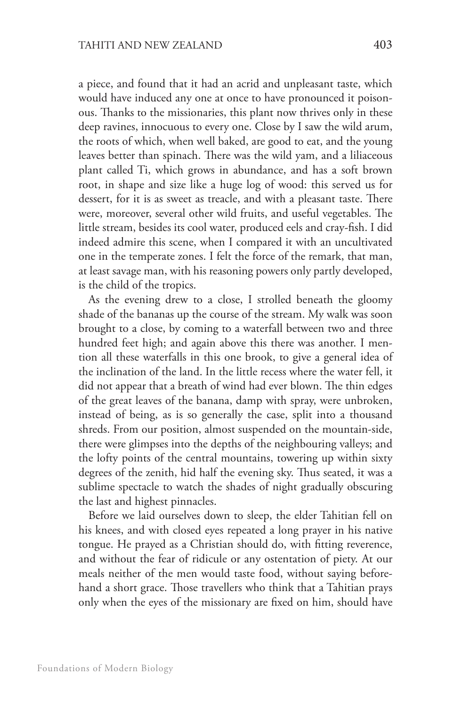a piece, and found that it had an acrid and unpleasant taste, which would have induced any one at once to have pronounced it poisonous. Thanks to the missionaries, this plant now thrives only in these deep ravines, innocuous to every one. Close by I saw the wild arum, the roots of which, when well baked, are good to eat, and the young leaves better than spinach. There was the wild yam, and a liliaceous plant called Ti, which grows in abundance, and has a soft brown root, in shape and size like a huge log of wood: this served us for dessert, for it is as sweet as treacle, and with a pleasant taste. There were, moreover, several other wild fruits, and useful vegetables. The little stream, besides its cool water, produced eels and cray-fish. I did indeed admire this scene, when I compared it with an uncultivated one in the temperate zones. I felt the force of the remark, that man, at least savage man, with his reasoning powers only partly developed, is the child of the tropics.

As the evening drew to a close, I strolled beneath the gloomy shade of the bananas up the course of the stream. My walk was soon brought to a close, by coming to a waterfall between two and three hundred feet high; and again above this there was another. I mention all these waterfalls in this one brook, to give a general idea of the inclination of the land. In the little recess where the water fell, it did not appear that a breath of wind had ever blown. The thin edges of the great leaves of the banana, damp with spray, were unbroken, instead of being, as is so generally the case, split into a thousand shreds. From our position, almost suspended on the mountain-side, there were glimpses into the depths of the neighbouring valleys; and the lofty points of the central mountains, towering up within sixty degrees of the zenith, hid half the evening sky. Thus seated, it was a sublime spectacle to watch the shades of night gradually obscuring the last and highest pinnacles.

Before we laid ourselves down to sleep, the elder Tahitian fell on his knees, and with closed eyes repeated a long prayer in his native tongue. He prayed as a Christian should do, with fitting reverence, and without the fear of ridicule or any ostentation of piety. At our meals neither of the men would taste food, without saying beforehand a short grace. Those travellers who think that a Tahitian prays only when the eyes of the missionary are fixed on him, should have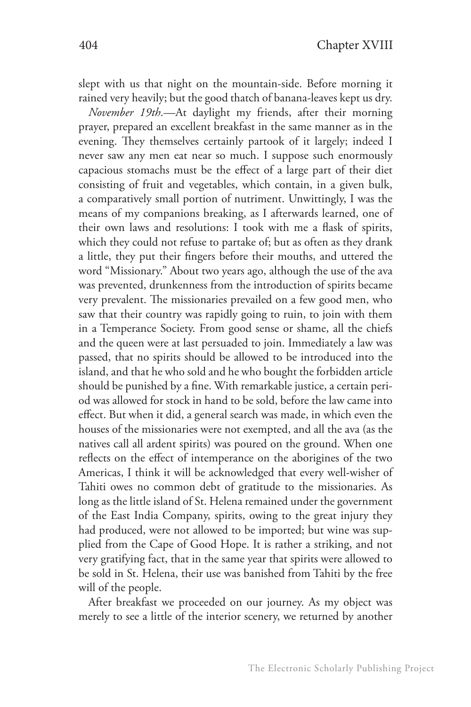slept with us that night on the mountain-side. Before morning it rained very heavily; but the good thatch of banana-leaves kept us dry.

*November 19th*.—At daylight my friends, after their morning prayer, prepared an excellent breakfast in the same manner as in the evening. They themselves certainly partook of it largely; indeed I never saw any men eat near so much. I suppose such enormously capacious stomachs must be the effect of a large part of their diet consisting of fruit and vegetables, which contain, in a given bulk, a comparatively small portion of nutriment. Unwittingly, I was the means of my companions breaking, as I afterwards learned, one of their own laws and resolutions: I took with me a flask of spirits, which they could not refuse to partake of; but as often as they drank a little, they put their fingers before their mouths, and uttered the word "Missionary." About two years ago, although the use of the ava was prevented, drunkenness from the introduction of spirits became very prevalent. The missionaries prevailed on a few good men, who saw that their country was rapidly going to ruin, to join with them in a Temperance Society. From good sense or shame, all the chiefs and the queen were at last persuaded to join. Immediately a law was passed, that no spirits should be allowed to be introduced into the island, and that he who sold and he who bought the forbidden article should be punished by a fine. With remarkable justice, a certain period was allowed for stock in hand to be sold, before the law came into effect. But when it did, a general search was made, in which even the houses of the missionaries were not exempted, and all the ava (as the natives call all ardent spirits) was poured on the ground. When one reflects on the effect of intemperance on the aborigines of the two Americas, I think it will be acknowledged that every well-wisher of Tahiti owes no common debt of gratitude to the missionaries. As long as the little island of St. Helena remained under the government of the East India Company, spirits, owing to the great injury they had produced, were not allowed to be imported; but wine was supplied from the Cape of Good Hope. It is rather a striking, and not very gratifying fact, that in the same year that spirits were allowed to be sold in St. Helena, their use was banished from Tahiti by the free will of the people.

After breakfast we proceeded on our journey. As my object was merely to see a little of the interior scenery, we returned by another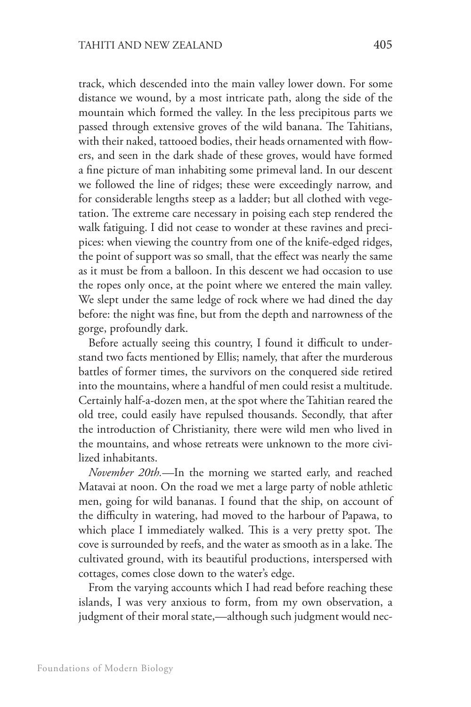track, which descended into the main valley lower down. For some distance we wound, by a most intricate path, along the side of the mountain which formed the valley. In the less precipitous parts we passed through extensive groves of the wild banana. The Tahitians, with their naked, tattooed bodies, their heads ornamented with flowers, and seen in the dark shade of these groves, would have formed a fine picture of man inhabiting some primeval land. In our descent we followed the line of ridges; these were exceedingly narrow, and for considerable lengths steep as a ladder; but all clothed with vegetation. The extreme care necessary in poising each step rendered the walk fatiguing. I did not cease to wonder at these ravines and precipices: when viewing the country from one of the knife-edged ridges, the point of support was so small, that the effect was nearly the same as it must be from a balloon. In this descent we had occasion to use the ropes only once, at the point where we entered the main valley. We slept under the same ledge of rock where we had dined the day before: the night was fine, but from the depth and narrowness of the gorge, profoundly dark.

Before actually seeing this country, I found it difficult to understand two facts mentioned by Ellis; namely, that after the murderous battles of former times, the survivors on the conquered side retired into the mountains, where a handful of men could resist a multitude. Certainly half-a-dozen men, at the spot where the Tahitian reared the old tree, could easily have repulsed thousands. Secondly, that after the introduction of Christianity, there were wild men who lived in the mountains, and whose retreats were unknown to the more civilized inhabitants.

*November 20th.*—In the morning we started early, and reached Matavai at noon. On the road we met a large party of noble athletic men, going for wild bananas. I found that the ship, on account of the difficulty in watering, had moved to the harbour of Papawa, to which place I immediately walked. This is a very pretty spot. The cove is surrounded by reefs, and the water as smooth as in a lake. The cultivated ground, with its beautiful productions, interspersed with cottages, comes close down to the water's edge.

From the varying accounts which I had read before reaching these islands, I was very anxious to form, from my own observation, a judgment of their moral state,—although such judgment would nec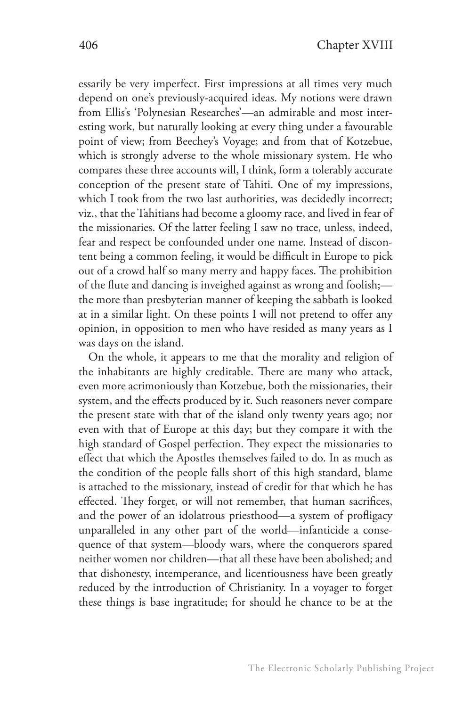essarily be very imperfect. First impressions at all times very much depend on one's previously-acquired ideas. My notions were drawn from Ellis's 'Polynesian Researches'—an admirable and most interesting work, but naturally looking at every thing under a favourable point of view; from Beechey's Voyage; and from that of Kotzebue, which is strongly adverse to the whole missionary system. He who compares these three accounts will, I think, form a tolerably accurate conception of the present state of Tahiti. One of my impressions, which I took from the two last authorities, was decidedly incorrect; viz., that the Tahitians had become a gloomy race, and lived in fear of the missionaries. Of the latter feeling I saw no trace, unless, indeed, fear and respect be confounded under one name. Instead of discontent being a common feeling, it would be difficult in Europe to pick out of a crowd half so many merry and happy faces. The prohibition of the flute and dancing is inveighed against as wrong and foolish; the more than presbyterian manner of keeping the sabbath is looked at in a similar light. On these points I will not pretend to offer any opinion, in opposition to men who have resided as many years as I was days on the island.

On the whole, it appears to me that the morality and religion of the inhabitants are highly creditable. There are many who attack, even more acrimoniously than Kotzebue, both the missionaries, their system, and the effects produced by it. Such reasoners never compare the present state with that of the island only twenty years ago; nor even with that of Europe at this day; but they compare it with the high standard of Gospel perfection. They expect the missionaries to effect that which the Apostles themselves failed to do. In as much as the condition of the people falls short of this high standard, blame is attached to the missionary, instead of credit for that which he has effected. They forget, or will not remember, that human sacrifices, and the power of an idolatrous priesthood—a system of profligacy unparalleled in any other part of the world—infanticide a consequence of that system—bloody wars, where the conquerors spared neither women nor children—that all these have been abolished; and that dishonesty, intemperance, and licentiousness have been greatly reduced by the introduction of Christianity. In a voyager to forget these things is base ingratitude; for should he chance to be at the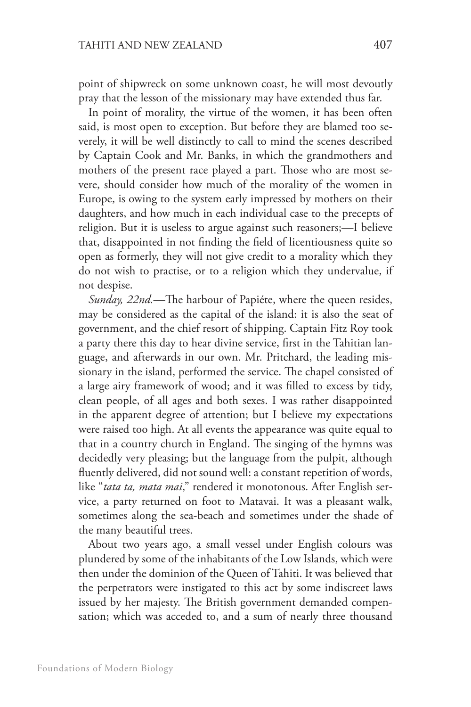point of shipwreck on some unknown coast, he will most devoutly pray that the lesson of the missionary may have extended thus far.

In point of morality, the virtue of the women, it has been often said, is most open to exception. But before they are blamed too severely, it will be well distinctly to call to mind the scenes described by Captain Cook and Mr. Banks, in which the grandmothers and mothers of the present race played a part. Those who are most severe, should consider how much of the morality of the women in Europe, is owing to the system early impressed by mothers on their daughters, and how much in each individual case to the precepts of religion. But it is useless to argue against such reasoners;—I believe that, disappointed in not finding the field of licentiousness quite so open as formerly, they will not give credit to a morality which they do not wish to practise, or to a religion which they undervalue, if not despise.

*Sunday, 22nd.*—The harbour of Papiéte, where the queen resides, may be considered as the capital of the island: it is also the seat of government, and the chief resort of shipping. Captain Fitz Roy took a party there this day to hear divine service, first in the Tahitian language, and afterwards in our own. Mr. Pritchard, the leading missionary in the island, performed the service. The chapel consisted of a large airy framework of wood; and it was filled to excess by tidy, clean people, of all ages and both sexes. I was rather disappointed in the apparent degree of attention; but I believe my expectations were raised too high. At all events the appearance was quite equal to that in a country church in England. The singing of the hymns was decidedly very pleasing; but the language from the pulpit, although fluently delivered, did not sound well: a constant repetition of words, like "*tata ta, mata mai*," rendered it monotonous. After English service, a party returned on foot to Matavai. It was a pleasant walk, sometimes along the sea-beach and sometimes under the shade of the many beautiful trees.

About two years ago, a small vessel under English colours was plundered by some of the inhabitants of the Low Islands, which were then under the dominion of the Queen of Tahiti. It was believed that the perpetrators were instigated to this act by some indiscreet laws issued by her majesty. The British government demanded compensation; which was acceded to, and a sum of nearly three thousand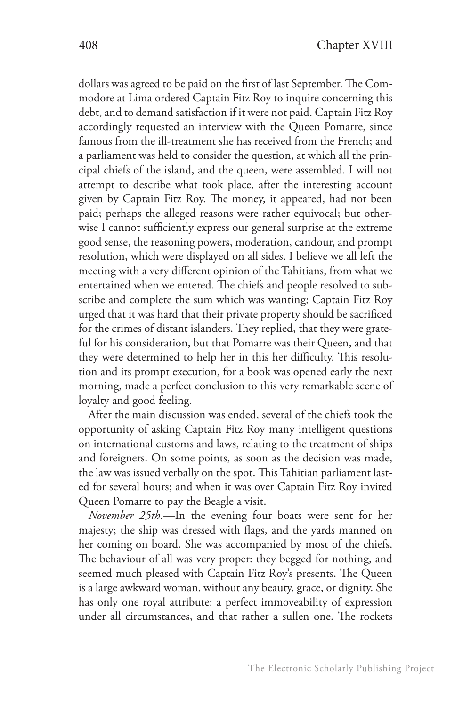dollars was agreed to be paid on the first of last September. The Commodore at Lima ordered Captain Fitz Roy to inquire concerning this debt, and to demand satisfaction if it were not paid. Captain Fitz Roy accordingly requested an interview with the Queen Pomarre, since famous from the ill-treatment she has received from the French; and a parliament was held to consider the question, at which all the principal chiefs of the island, and the queen, were assembled. I will not attempt to describe what took place, after the interesting account given by Captain Fitz Roy. The money, it appeared, had not been paid; perhaps the alleged reasons were rather equivocal; but otherwise I cannot sufficiently express our general surprise at the extreme good sense, the reasoning powers, moderation, candour, and prompt resolution, which were displayed on all sides. I believe we all left the meeting with a very different opinion of the Tahitians, from what we entertained when we entered. The chiefs and people resolved to subscribe and complete the sum which was wanting; Captain Fitz Roy urged that it was hard that their private property should be sacrificed for the crimes of distant islanders. They replied, that they were grateful for his consideration, but that Pomarre was their Queen, and that they were determined to help her in this her difficulty. This resolution and its prompt execution, for a book was opened early the next morning, made a perfect conclusion to this very remarkable scene of loyalty and good feeling.

After the main discussion was ended, several of the chiefs took the opportunity of asking Captain Fitz Roy many intelligent questions on international customs and laws, relating to the treatment of ships and foreigners. On some points, as soon as the decision was made, the law was issued verbally on the spot. This Tahitian parliament lasted for several hours; and when it was over Captain Fitz Roy invited Queen Pomarre to pay the Beagle a visit.

*November 25th*.—In the evening four boats were sent for her majesty; the ship was dressed with flags, and the yards manned on her coming on board. She was accompanied by most of the chiefs. The behaviour of all was very proper: they begged for nothing, and seemed much pleased with Captain Fitz Roy's presents. The Queen is a large awkward woman, without any beauty, grace, or dignity. She has only one royal attribute: a perfect immoveability of expression under all circumstances, and that rather a sullen one. The rockets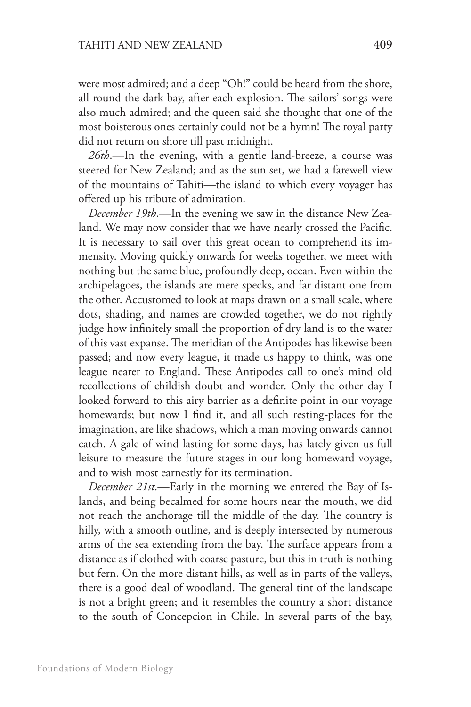were most admired; and a deep "Oh!" could be heard from the shore, all round the dark bay, after each explosion. The sailors' songs were also much admired; and the queen said she thought that one of the most boisterous ones certainly could not be a hymn! The royal party did not return on shore till past midnight.

*26th*.—In the evening, with a gentle land-breeze, a course was steered for New Zealand; and as the sun set, we had a farewell view of the mountains of Tahiti—the island to which every voyager has offered up his tribute of admiration.

*December 19th*.—In the evening we saw in the distance New Zealand. We may now consider that we have nearly crossed the Pacific. It is necessary to sail over this great ocean to comprehend its immensity. Moving quickly onwards for weeks together, we meet with nothing but the same blue, profoundly deep, ocean. Even within the archipelagoes, the islands are mere specks, and far distant one from the other. Accustomed to look at maps drawn on a small scale, where dots, shading, and names are crowded together, we do not rightly judge how infinitely small the proportion of dry land is to the water of this vast expanse. The meridian of the Antipodes has likewise been passed; and now every league, it made us happy to think, was one league nearer to England. These Antipodes call to one's mind old recollections of childish doubt and wonder. Only the other day I looked forward to this airy barrier as a definite point in our voyage homewards; but now I find it, and all such resting-places for the imagination, are like shadows, which a man moving onwards cannot catch. A gale of wind lasting for some days, has lately given us full leisure to measure the future stages in our long homeward voyage, and to wish most earnestly for its termination.

*December 21st*.—Early in the morning we entered the Bay of Islands, and being becalmed for some hours near the mouth, we did not reach the anchorage till the middle of the day. The country is hilly, with a smooth outline, and is deeply intersected by numerous arms of the sea extending from the bay. The surface appears from a distance as if clothed with coarse pasture, but this in truth is nothing but fern. On the more distant hills, as well as in parts of the valleys, there is a good deal of woodland. The general tint of the landscape is not a bright green; and it resembles the country a short distance to the south of Concepcion in Chile. In several parts of the bay,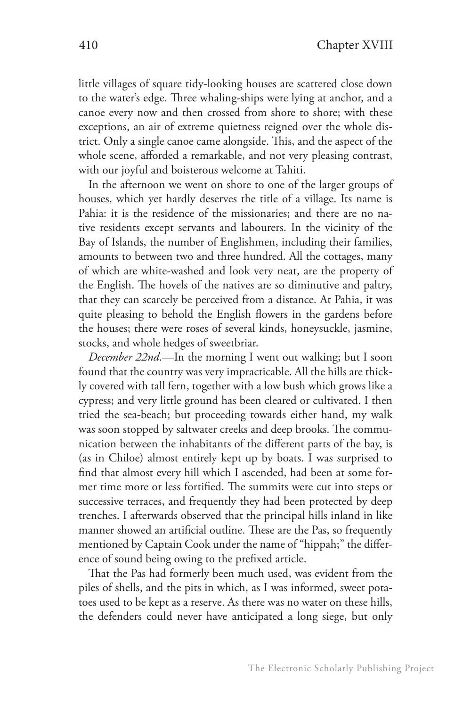little villages of square tidy-looking houses are scattered close down to the water's edge. Three whaling-ships were lying at anchor, and a canoe every now and then crossed from shore to shore; with these exceptions, an air of extreme quietness reigned over the whole district. Only a single canoe came alongside. This, and the aspect of the whole scene, afforded a remarkable, and not very pleasing contrast, with our joyful and boisterous welcome at Tahiti.

In the afternoon we went on shore to one of the larger groups of houses, which yet hardly deserves the title of a village. Its name is Pahia: it is the residence of the missionaries; and there are no native residents except servants and labourers. In the vicinity of the Bay of Islands, the number of Englishmen, including their families, amounts to between two and three hundred. All the cottages, many of which are white-washed and look very neat, are the property of the English. The hovels of the natives are so diminutive and paltry, that they can scarcely be perceived from a distance. At Pahia, it was quite pleasing to behold the English flowers in the gardens before the houses; there were roses of several kinds, honeysuckle, jasmine, stocks, and whole hedges of sweetbriar.

*December 22nd*.—In the morning I went out walking; but I soon found that the country was very impracticable. All the hills are thickly covered with tall fern, together with a low bush which grows like a cypress; and very little ground has been cleared or cultivated. I then tried the sea-beach; but proceeding towards either hand, my walk was soon stopped by saltwater creeks and deep brooks. The communication between the inhabitants of the different parts of the bay, is (as in Chiloe) almost entirely kept up by boats. I was surprised to find that almost every hill which I ascended, had been at some former time more or less fortified. The summits were cut into steps or successive terraces, and frequently they had been protected by deep trenches. I afterwards observed that the principal hills inland in like manner showed an artificial outline. These are the Pas, so frequently mentioned by Captain Cook under the name of "hippah;" the difference of sound being owing to the prefixed article.

That the Pas had formerly been much used, was evident from the piles of shells, and the pits in which, as I was informed, sweet potatoes used to be kept as a reserve. As there was no water on these hills, the defenders could never have anticipated a long siege, but only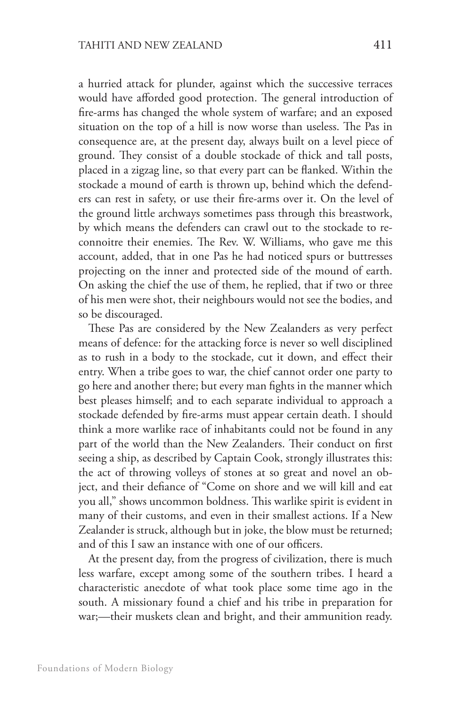a hurried attack for plunder, against which the successive terraces would have afforded good protection. The general introduction of fire-arms has changed the whole system of warfare; and an exposed situation on the top of a hill is now worse than useless. The Pas in consequence are, at the present day, always built on a level piece of ground. They consist of a double stockade of thick and tall posts, placed in a zigzag line, so that every part can be flanked. Within the stockade a mound of earth is thrown up, behind which the defenders can rest in safety, or use their fire-arms over it. On the level of the ground little archways sometimes pass through this breastwork, by which means the defenders can crawl out to the stockade to reconnoitre their enemies. The Rev. W. Williams, who gave me this account, added, that in one Pas he had noticed spurs or buttresses projecting on the inner and protected side of the mound of earth. On asking the chief the use of them, he replied, that if two or three of his men were shot, their neighbours would not see the bodies, and so be discouraged.

These Pas are considered by the New Zealanders as very perfect means of defence: for the attacking force is never so well disciplined as to rush in a body to the stockade, cut it down, and effect their entry. When a tribe goes to war, the chief cannot order one party to go here and another there; but every man fights in the manner which best pleases himself; and to each separate individual to approach a stockade defended by fire-arms must appear certain death. I should think a more warlike race of inhabitants could not be found in any part of the world than the New Zealanders. Their conduct on first seeing a ship, as described by Captain Cook, strongly illustrates this: the act of throwing volleys of stones at so great and novel an object, and their defiance of "Come on shore and we will kill and eat you all," shows uncommon boldness. This warlike spirit is evident in many of their customs, and even in their smallest actions. If a New Zealander is struck, although but in joke, the blow must be returned; and of this I saw an instance with one of our officers.

At the present day, from the progress of civilization, there is much less warfare, except among some of the southern tribes. I heard a characteristic anecdote of what took place some time ago in the south. A missionary found a chief and his tribe in preparation for war;—their muskets clean and bright, and their ammunition ready.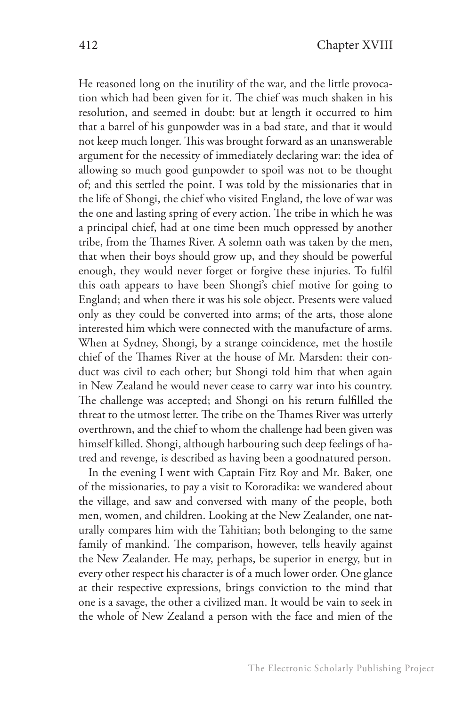He reasoned long on the inutility of the war, and the little provocation which had been given for it. The chief was much shaken in his resolution, and seemed in doubt: but at length it occurred to him that a barrel of his gunpowder was in a bad state, and that it would not keep much longer. This was brought forward as an unanswerable argument for the necessity of immediately declaring war: the idea of allowing so much good gunpowder to spoil was not to be thought of; and this settled the point. I was told by the missionaries that in the life of Shongi, the chief who visited England, the love of war was the one and lasting spring of every action. The tribe in which he was a principal chief, had at one time been much oppressed by another tribe, from the Thames River. A solemn oath was taken by the men, that when their boys should grow up, and they should be powerful enough, they would never forget or forgive these injuries. To fulfil this oath appears to have been Shongi's chief motive for going to England; and when there it was his sole object. Presents were valued only as they could be converted into arms; of the arts, those alone interested him which were connected with the manufacture of arms. When at Sydney, Shongi, by a strange coincidence, met the hostile chief of the Thames River at the house of Mr. Marsden: their conduct was civil to each other; but Shongi told him that when again in New Zealand he would never cease to carry war into his country. The challenge was accepted; and Shongi on his return fulfilled the threat to the utmost letter. The tribe on the Thames River was utterly overthrown, and the chief to whom the challenge had been given was himself killed. Shongi, although harbouring such deep feelings of hatred and revenge, is described as having been a goodnatured person.

In the evening I went with Captain Fitz Roy and Mr. Baker, one of the missionaries, to pay a visit to Kororadika: we wandered about the village, and saw and conversed with many of the people, both men, women, and children. Looking at the New Zealander, one naturally compares him with the Tahitian; both belonging to the same family of mankind. The comparison, however, tells heavily against the New Zealander. He may, perhaps, be superior in energy, but in every other respect his character is of a much lower order. One glance at their respective expressions, brings conviction to the mind that one is a savage, the other a civilized man. It would be vain to seek in the whole of New Zealand a person with the face and mien of the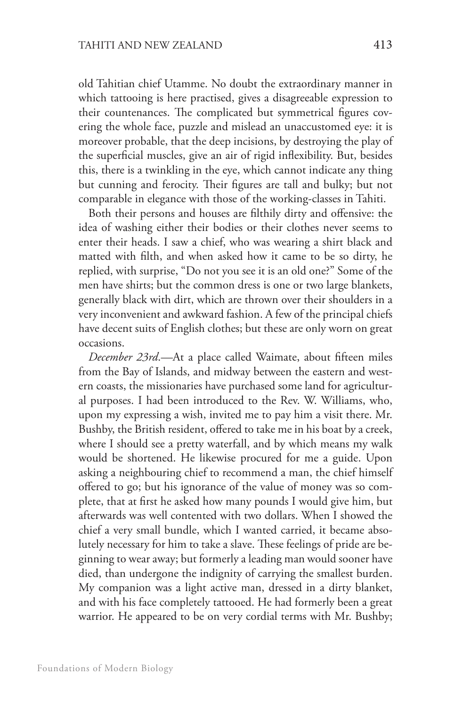old Tahitian chief Utamme. No doubt the extraordinary manner in which tattooing is here practised, gives a disagreeable expression to their countenances. The complicated but symmetrical figures covering the whole face, puzzle and mislead an unaccustomed eye: it is moreover probable, that the deep incisions, by destroying the play of the superficial muscles, give an air of rigid inflexibility. But, besides this, there is a twinkling in the eye, which cannot indicate any thing but cunning and ferocity. Their figures are tall and bulky; but not comparable in elegance with those of the working-classes in Tahiti.

Both their persons and houses are filthily dirty and offensive: the idea of washing either their bodies or their clothes never seems to enter their heads. I saw a chief, who was wearing a shirt black and matted with filth, and when asked how it came to be so dirty, he replied, with surprise, "Do not you see it is an old one?" Some of the men have shirts; but the common dress is one or two large blankets, generally black with dirt, which are thrown over their shoulders in a very inconvenient and awkward fashion. A few of the principal chiefs have decent suits of English clothes; but these are only worn on great occasions.

*December 23rd*.—At a place called Waimate, about fifteen miles from the Bay of Islands, and midway between the eastern and western coasts, the missionaries have purchased some land for agricultural purposes. I had been introduced to the Rev. W. Williams, who, upon my expressing a wish, invited me to pay him a visit there. Mr. Bushby, the British resident, offered to take me in his boat by a creek, where I should see a pretty waterfall, and by which means my walk would be shortened. He likewise procured for me a guide. Upon asking a neighbouring chief to recommend a man, the chief himself offered to go; but his ignorance of the value of money was so complete, that at first he asked how many pounds I would give him, but afterwards was well contented with two dollars. When I showed the chief a very small bundle, which I wanted carried, it became absolutely necessary for him to take a slave. These feelings of pride are beginning to wear away; but formerly a leading man would sooner have died, than undergone the indignity of carrying the smallest burden. My companion was a light active man, dressed in a dirty blanket, and with his face completely tattooed. He had formerly been a great warrior. He appeared to be on very cordial terms with Mr. Bushby;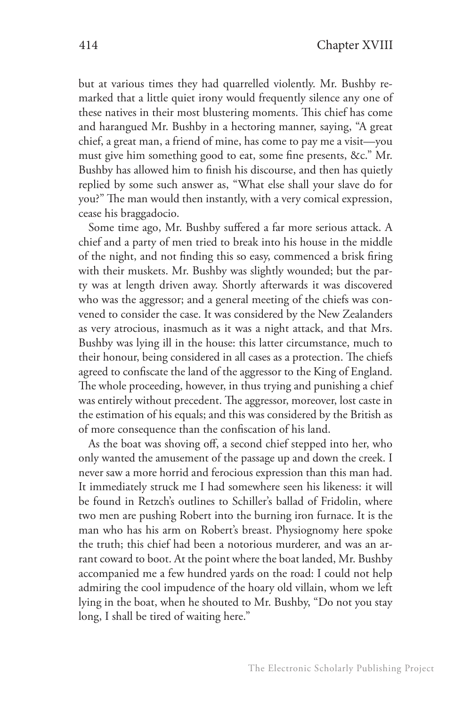but at various times they had quarrelled violently. Mr. Bushby remarked that a little quiet irony would frequently silence any one of these natives in their most blustering moments. This chief has come and harangued Mr. Bushby in a hectoring manner, saying, "A great chief, a great man, a friend of mine, has come to pay me a visit—you must give him something good to eat, some fine presents, &c." Mr. Bushby has allowed him to finish his discourse, and then has quietly replied by some such answer as, "What else shall your slave do for you?" The man would then instantly, with a very comical expression, cease his braggadocio.

Some time ago, Mr. Bushby suffered a far more serious attack. A chief and a party of men tried to break into his house in the middle of the night, and not finding this so easy, commenced a brisk firing with their muskets. Mr. Bushby was slightly wounded; but the party was at length driven away. Shortly afterwards it was discovered who was the aggressor; and a general meeting of the chiefs was convened to consider the case. It was considered by the New Zealanders as very atrocious, inasmuch as it was a night attack, and that Mrs. Bushby was lying ill in the house: this latter circumstance, much to their honour, being considered in all cases as a protection. The chiefs agreed to confiscate the land of the aggressor to the King of England. The whole proceeding, however, in thus trying and punishing a chief was entirely without precedent. The aggressor, moreover, lost caste in the estimation of his equals; and this was considered by the British as of more consequence than the confiscation of his land.

As the boat was shoving off, a second chief stepped into her, who only wanted the amusement of the passage up and down the creek. I never saw a more horrid and ferocious expression than this man had. It immediately struck me I had somewhere seen his likeness: it will be found in Retzch's outlines to Schiller's ballad of Fridolin, where two men are pushing Robert into the burning iron furnace. It is the man who has his arm on Robert's breast. Physiognomy here spoke the truth; this chief had been a notorious murderer, and was an arrant coward to boot. At the point where the boat landed, Mr. Bushby accompanied me a few hundred yards on the road: I could not help admiring the cool impudence of the hoary old villain, whom we left lying in the boat, when he shouted to Mr. Bushby, "Do not you stay long, I shall be tired of waiting here."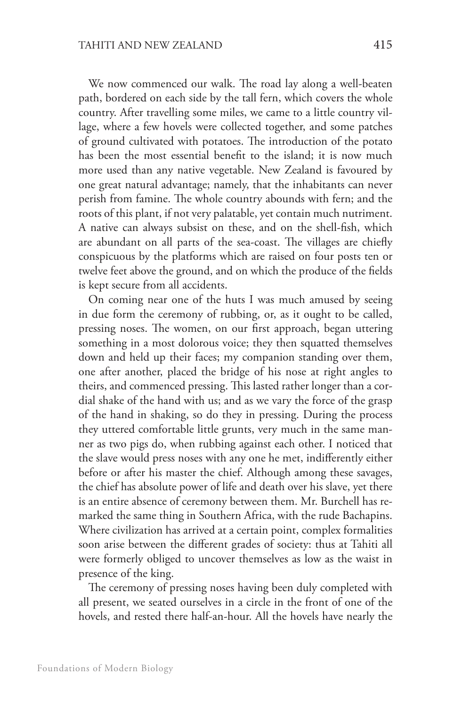We now commenced our walk. The road lay along a well-beaten path, bordered on each side by the tall fern, which covers the whole country. After travelling some miles, we came to a little country village, where a few hovels were collected together, and some patches of ground cultivated with potatoes. The introduction of the potato has been the most essential benefit to the island; it is now much more used than any native vegetable. New Zealand is favoured by one great natural advantage; namely, that the inhabitants can never perish from famine. The whole country abounds with fern; and the roots of this plant, if not very palatable, yet contain much nutriment. A native can always subsist on these, and on the shell-fish, which are abundant on all parts of the sea-coast. The villages are chiefly conspicuous by the platforms which are raised on four posts ten or twelve feet above the ground, and on which the produce of the fields is kept secure from all accidents.

On coming near one of the huts I was much amused by seeing in due form the ceremony of rubbing, or, as it ought to be called, pressing noses. The women, on our first approach, began uttering something in a most dolorous voice; they then squatted themselves down and held up their faces; my companion standing over them, one after another, placed the bridge of his nose at right angles to theirs, and commenced pressing. This lasted rather longer than a cordial shake of the hand with us; and as we vary the force of the grasp of the hand in shaking, so do they in pressing. During the process they uttered comfortable little grunts, very much in the same manner as two pigs do, when rubbing against each other. I noticed that the slave would press noses with any one he met, indifferently either before or after his master the chief. Although among these savages, the chief has absolute power of life and death over his slave, yet there is an entire absence of ceremony between them. Mr. Burchell has remarked the same thing in Southern Africa, with the rude Bachapins. Where civilization has arrived at a certain point, complex formalities soon arise between the different grades of society: thus at Tahiti all were formerly obliged to uncover themselves as low as the waist in presence of the king.

The ceremony of pressing noses having been duly completed with all present, we seated ourselves in a circle in the front of one of the hovels, and rested there half-an-hour. All the hovels have nearly the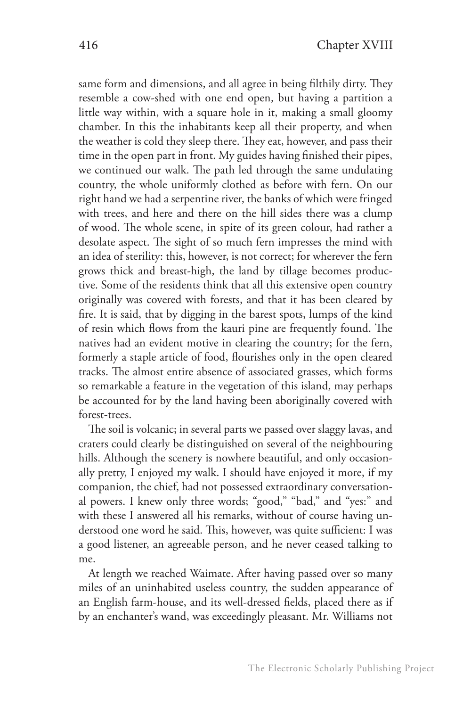same form and dimensions, and all agree in being filthily dirty. They resemble a cow-shed with one end open, but having a partition a little way within, with a square hole in it, making a small gloomy chamber. In this the inhabitants keep all their property, and when the weather is cold they sleep there. They eat, however, and pass their time in the open part in front. My guides having finished their pipes, we continued our walk. The path led through the same undulating country, the whole uniformly clothed as before with fern. On our right hand we had a serpentine river, the banks of which were fringed with trees, and here and there on the hill sides there was a clump of wood. The whole scene, in spite of its green colour, had rather a desolate aspect. The sight of so much fern impresses the mind with an idea of sterility: this, however, is not correct; for wherever the fern grows thick and breast-high, the land by tillage becomes productive. Some of the residents think that all this extensive open country originally was covered with forests, and that it has been cleared by fire. It is said, that by digging in the barest spots, lumps of the kind of resin which flows from the kauri pine are frequently found. The natives had an evident motive in clearing the country; for the fern, formerly a staple article of food, flourishes only in the open cleared tracks. The almost entire absence of associated grasses, which forms so remarkable a feature in the vegetation of this island, may perhaps be accounted for by the land having been aboriginally covered with forest-trees.

The soil is volcanic; in several parts we passed over slaggy lavas, and craters could clearly be distinguished on several of the neighbouring hills. Although the scenery is nowhere beautiful, and only occasionally pretty, I enjoyed my walk. I should have enjoyed it more, if my companion, the chief, had not possessed extraordinary conversational powers. I knew only three words; "good," "bad," and "yes:" and with these I answered all his remarks, without of course having understood one word he said. This, however, was quite sufficient: I was a good listener, an agreeable person, and he never ceased talking to me.

At length we reached Waimate. After having passed over so many miles of an uninhabited useless country, the sudden appearance of an English farm-house, and its well-dressed fields, placed there as if by an enchanter's wand, was exceedingly pleasant. Mr. Williams not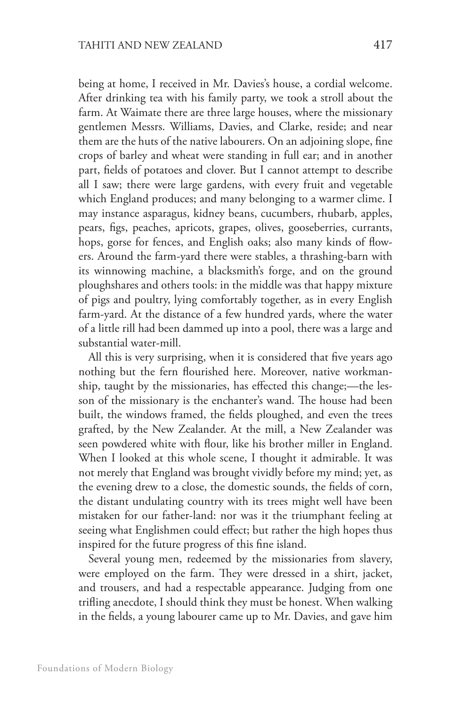being at home, I received in Mr. Davies's house, a cordial welcome. After drinking tea with his family party, we took a stroll about the farm. At Waimate there are three large houses, where the missionary gentlemen Messrs. Williams, Davies, and Clarke, reside; and near them are the huts of the native labourers. On an adjoining slope, fine crops of barley and wheat were standing in full ear; and in another part, fields of potatoes and clover. But I cannot attempt to describe all I saw; there were large gardens, with every fruit and vegetable which England produces; and many belonging to a warmer clime. I may instance asparagus, kidney beans, cucumbers, rhubarb, apples, pears, figs, peaches, apricots, grapes, olives, gooseberries, currants, hops, gorse for fences, and English oaks; also many kinds of flowers. Around the farm-yard there were stables, a thrashing-barn with its winnowing machine, a blacksmith's forge, and on the ground ploughshares and others tools: in the middle was that happy mixture of pigs and poultry, lying comfortably together, as in every English farm-yard. At the distance of a few hundred yards, where the water of a little rill had been dammed up into a pool, there was a large and substantial water-mill.

All this is very surprising, when it is considered that five years ago nothing but the fern flourished here. Moreover, native workmanship, taught by the missionaries, has effected this change;—the lesson of the missionary is the enchanter's wand. The house had been built, the windows framed, the fields ploughed, and even the trees grafted, by the New Zealander. At the mill, a New Zealander was seen powdered white with flour, like his brother miller in England. When I looked at this whole scene, I thought it admirable. It was not merely that England was brought vividly before my mind; yet, as the evening drew to a close, the domestic sounds, the fields of corn, the distant undulating country with its trees might well have been mistaken for our father-land: nor was it the triumphant feeling at seeing what Englishmen could effect; but rather the high hopes thus inspired for the future progress of this fine island.

Several young men, redeemed by the missionaries from slavery, were employed on the farm. They were dressed in a shirt, jacket, and trousers, and had a respectable appearance. Judging from one trifling anecdote, I should think they must be honest. When walking in the fields, a young labourer came up to Mr. Davies, and gave him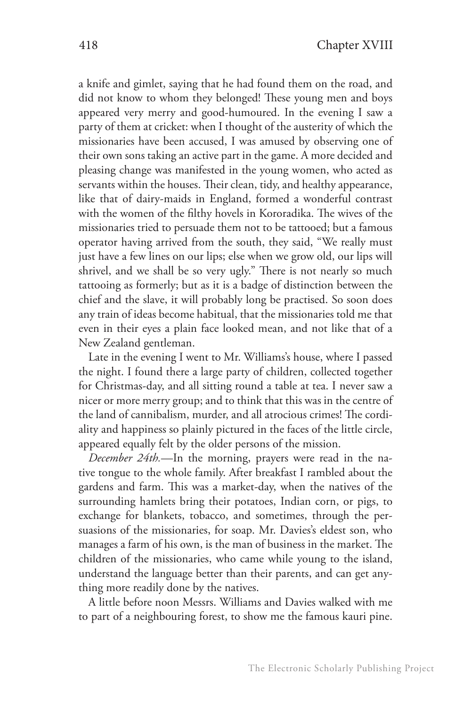a knife and gimlet, saying that he had found them on the road, and did not know to whom they belonged! These young men and boys appeared very merry and good-humoured. In the evening I saw a party of them at cricket: when I thought of the austerity of which the missionaries have been accused, I was amused by observing one of their own sons taking an active part in the game. A more decided and pleasing change was manifested in the young women, who acted as servants within the houses. Their clean, tidy, and healthy appearance, like that of dairy-maids in England, formed a wonderful contrast with the women of the filthy hovels in Kororadika. The wives of the missionaries tried to persuade them not to be tattooed; but a famous operator having arrived from the south, they said, "We really must just have a few lines on our lips; else when we grow old, our lips will shrivel, and we shall be so very ugly." There is not nearly so much tattooing as formerly; but as it is a badge of distinction between the chief and the slave, it will probably long be practised. So soon does any train of ideas become habitual, that the missionaries told me that even in their eyes a plain face looked mean, and not like that of a New Zealand gentleman.

Late in the evening I went to Mr. Williams's house, where I passed the night. I found there a large party of children, collected together for Christmas-day, and all sitting round a table at tea. I never saw a nicer or more merry group; and to think that this was in the centre of the land of cannibalism, murder, and all atrocious crimes! The cordiality and happiness so plainly pictured in the faces of the little circle, appeared equally felt by the older persons of the mission.

*December 24th.*—In the morning, prayers were read in the native tongue to the whole family. After breakfast I rambled about the gardens and farm. This was a market-day, when the natives of the surrounding hamlets bring their potatoes, Indian corn, or pigs, to exchange for blankets, tobacco, and sometimes, through the persuasions of the missionaries, for soap. Mr. Davies's eldest son, who manages a farm of his own, is the man of business in the market. The children of the missionaries, who came while young to the island, understand the language better than their parents, and can get anything more readily done by the natives.

A little before noon Messrs. Williams and Davies walked with me to part of a neighbouring forest, to show me the famous kauri pine.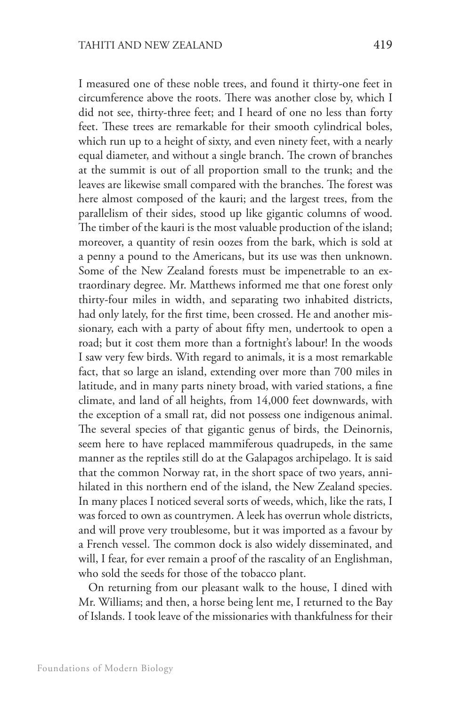I measured one of these noble trees, and found it thirty-one feet in circumference above the roots. There was another close by, which I did not see, thirty-three feet; and I heard of one no less than forty feet. These trees are remarkable for their smooth cylindrical boles, which run up to a height of sixty, and even ninety feet, with a nearly equal diameter, and without a single branch. The crown of branches at the summit is out of all proportion small to the trunk; and the leaves are likewise small compared with the branches. The forest was here almost composed of the kauri; and the largest trees, from the parallelism of their sides, stood up like gigantic columns of wood. The timber of the kauri is the most valuable production of the island; moreover, a quantity of resin oozes from the bark, which is sold at a penny a pound to the Americans, but its use was then unknown. Some of the New Zealand forests must be impenetrable to an extraordinary degree. Mr. Matthews informed me that one forest only thirty-four miles in width, and separating two inhabited districts, had only lately, for the first time, been crossed. He and another missionary, each with a party of about fifty men, undertook to open a road; but it cost them more than a fortnight's labour! In the woods I saw very few birds. With regard to animals, it is a most remarkable fact, that so large an island, extending over more than 700 miles in latitude, and in many parts ninety broad, with varied stations, a fine climate, and land of all heights, from 14,000 feet downwards, with the exception of a small rat, did not possess one indigenous animal. The several species of that gigantic genus of birds, the Deinornis, seem here to have replaced mammiferous quadrupeds, in the same manner as the reptiles still do at the Galapagos archipelago. It is said that the common Norway rat, in the short space of two years, annihilated in this northern end of the island, the New Zealand species. In many places I noticed several sorts of weeds, which, like the rats, I was forced to own as countrymen. A leek has overrun whole districts, and will prove very troublesome, but it was imported as a favour by a French vessel. The common dock is also widely disseminated, and will, I fear, for ever remain a proof of the rascality of an Englishman, who sold the seeds for those of the tobacco plant.

On returning from our pleasant walk to the house, I dined with Mr. Williams; and then, a horse being lent me, I returned to the Bay of Islands. I took leave of the missionaries with thankfulness for their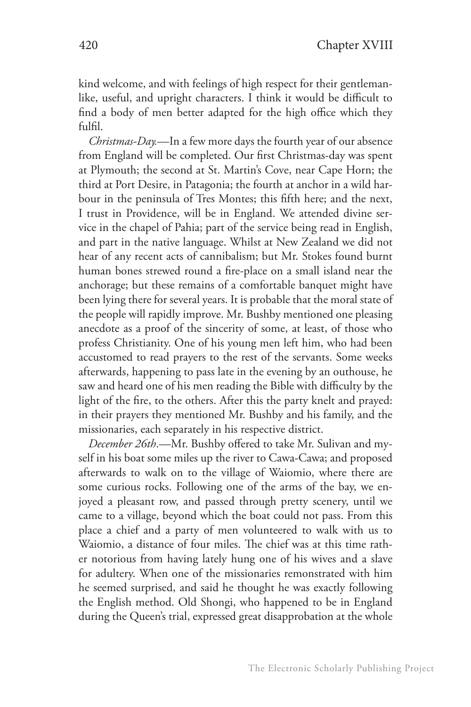kind welcome, and with feelings of high respect for their gentlemanlike, useful, and upright characters. I think it would be difficult to find a body of men better adapted for the high office which they fulfil.

*Christmas-Day.*—In a few more days the fourth year of our absence from England will be completed. Our first Christmas-day was spent at Plymouth; the second at St. Martin's Cove, near Cape Horn; the third at Port Desire, in Patagonia; the fourth at anchor in a wild harbour in the peninsula of Tres Montes; this fifth here; and the next, I trust in Providence, will be in England. We attended divine service in the chapel of Pahia; part of the service being read in English, and part in the native language. Whilst at New Zealand we did not hear of any recent acts of cannibalism; but Mr. Stokes found burnt human bones strewed round a fire-place on a small island near the anchorage; but these remains of a comfortable banquet might have been lying there for several years. It is probable that the moral state of the people will rapidly improve. Mr. Bushby mentioned one pleasing anecdote as a proof of the sincerity of some, at least, of those who profess Christianity. One of his young men left him, who had been accustomed to read prayers to the rest of the servants. Some weeks afterwards, happening to pass late in the evening by an outhouse, he saw and heard one of his men reading the Bible with difficulty by the light of the fire, to the others. After this the party knelt and prayed: in their prayers they mentioned Mr. Bushby and his family, and the missionaries, each separately in his respective district.

*December 26th*.—Mr. Bushby offered to take Mr. Sulivan and myself in his boat some miles up the river to Cawa-Cawa; and proposed afterwards to walk on to the village of Waiomio, where there are some curious rocks. Following one of the arms of the bay, we enjoyed a pleasant row, and passed through pretty scenery, until we came to a village, beyond which the boat could not pass. From this place a chief and a party of men volunteered to walk with us to Waiomio, a distance of four miles. The chief was at this time rather notorious from having lately hung one of his wives and a slave for adultery. When one of the missionaries remonstrated with him he seemed surprised, and said he thought he was exactly following the English method. Old Shongi, who happened to be in England during the Queen's trial, expressed great disapprobation at the whole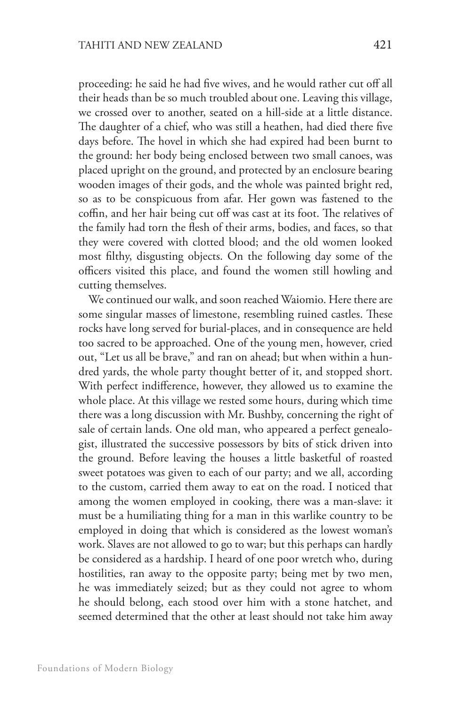proceeding: he said he had five wives, and he would rather cut off all their heads than be so much troubled about one. Leaving this village, we crossed over to another, seated on a hill-side at a little distance. The daughter of a chief, who was still a heathen, had died there five days before. The hovel in which she had expired had been burnt to the ground: her body being enclosed between two small canoes, was placed upright on the ground, and protected by an enclosure bearing wooden images of their gods, and the whole was painted bright red, so as to be conspicuous from afar. Her gown was fastened to the coffin, and her hair being cut off was cast at its foot. The relatives of the family had torn the flesh of their arms, bodies, and faces, so that they were covered with clotted blood; and the old women looked most filthy, disgusting objects. On the following day some of the officers visited this place, and found the women still howling and cutting themselves.

We continued our walk, and soon reached Waiomio. Here there are some singular masses of limestone, resembling ruined castles. These rocks have long served for burial-places, and in consequence are held too sacred to be approached. One of the young men, however, cried out, "Let us all be brave," and ran on ahead; but when within a hundred yards, the whole party thought better of it, and stopped short. With perfect indifference, however, they allowed us to examine the whole place. At this village we rested some hours, during which time there was a long discussion with Mr. Bushby, concerning the right of sale of certain lands. One old man, who appeared a perfect genealogist, illustrated the successive possessors by bits of stick driven into the ground. Before leaving the houses a little basketful of roasted sweet potatoes was given to each of our party; and we all, according to the custom, carried them away to eat on the road. I noticed that among the women employed in cooking, there was a man-slave: it must be a humiliating thing for a man in this warlike country to be employed in doing that which is considered as the lowest woman's work. Slaves are not allowed to go to war; but this perhaps can hardly be considered as a hardship. I heard of one poor wretch who, during hostilities, ran away to the opposite party; being met by two men, he was immediately seized; but as they could not agree to whom he should belong, each stood over him with a stone hatchet, and seemed determined that the other at least should not take him away